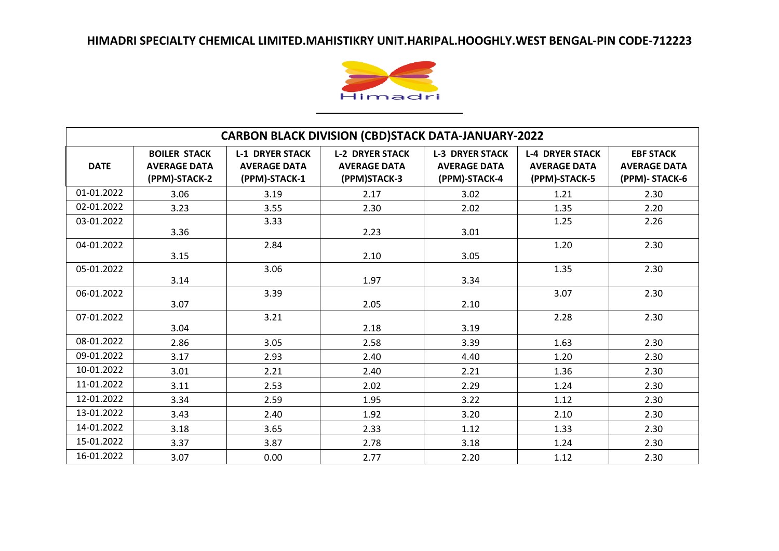

| <b>CARBON BLACK DIVISION (CBD)STACK DATA-JANUARY-2022</b> |                                                             |                                                                |                                                               |                                                                |                                                                |                                                          |  |
|-----------------------------------------------------------|-------------------------------------------------------------|----------------------------------------------------------------|---------------------------------------------------------------|----------------------------------------------------------------|----------------------------------------------------------------|----------------------------------------------------------|--|
| <b>DATE</b>                                               | <b>BOILER STACK</b><br><b>AVERAGE DATA</b><br>(PPM)-STACK-2 | <b>L-1 DRYER STACK</b><br><b>AVERAGE DATA</b><br>(PPM)-STACK-1 | <b>L-2 DRYER STACK</b><br><b>AVERAGE DATA</b><br>(PPM)STACK-3 | <b>L-3 DRYER STACK</b><br><b>AVERAGE DATA</b><br>(PPM)-STACK-4 | <b>L-4 DRYER STACK</b><br><b>AVERAGE DATA</b><br>(PPM)-STACK-5 | <b>EBF STACK</b><br><b>AVERAGE DATA</b><br>(PPM)-STACK-6 |  |
| 01-01.2022                                                | 3.06                                                        | 3.19                                                           | 2.17                                                          | 3.02                                                           | 1.21                                                           | 2.30                                                     |  |
| 02-01.2022                                                | 3.23                                                        | 3.55                                                           | 2.30                                                          | 2.02                                                           | 1.35                                                           | 2.20                                                     |  |
| 03-01.2022                                                | 3.36                                                        | 3.33                                                           | 2.23                                                          | 3.01                                                           | 1.25                                                           | 2.26                                                     |  |
| 04-01.2022                                                | 3.15                                                        | 2.84                                                           | 2.10                                                          | 3.05                                                           | 1.20                                                           | 2.30                                                     |  |
| 05-01.2022                                                | 3.14                                                        | 3.06                                                           | 1.97                                                          | 3.34                                                           | 1.35                                                           | 2.30                                                     |  |
| 06-01.2022                                                | 3.07                                                        | 3.39                                                           | 2.05                                                          | 2.10                                                           | 3.07                                                           | 2.30                                                     |  |
| 07-01.2022                                                | 3.04                                                        | 3.21                                                           | 2.18                                                          | 3.19                                                           | 2.28                                                           | 2.30                                                     |  |
| 08-01.2022                                                | 2.86                                                        | 3.05                                                           | 2.58                                                          | 3.39                                                           | 1.63                                                           | 2.30                                                     |  |
| 09-01.2022                                                | 3.17                                                        | 2.93                                                           | 2.40                                                          | 4.40                                                           | 1.20                                                           | 2.30                                                     |  |
| 10-01.2022                                                | 3.01                                                        | 2.21                                                           | 2.40                                                          | 2.21                                                           | 1.36                                                           | 2.30                                                     |  |
| 11-01.2022                                                | 3.11                                                        | 2.53                                                           | 2.02                                                          | 2.29                                                           | 1.24                                                           | 2.30                                                     |  |
| 12-01.2022                                                | 3.34                                                        | 2.59                                                           | 1.95                                                          | 3.22                                                           | 1.12                                                           | 2.30                                                     |  |
| 13-01.2022                                                | 3.43                                                        | 2.40                                                           | 1.92                                                          | 3.20                                                           | 2.10                                                           | 2.30                                                     |  |
| 14-01.2022                                                | 3.18                                                        | 3.65                                                           | 2.33                                                          | 1.12                                                           | 1.33                                                           | 2.30                                                     |  |
| 15-01.2022                                                | 3.37                                                        | 3.87                                                           | 2.78                                                          | 3.18                                                           | 1.24                                                           | 2.30                                                     |  |
| 16-01.2022                                                | 3.07                                                        | 0.00                                                           | 2.77                                                          | 2.20                                                           | 1.12                                                           | 2.30                                                     |  |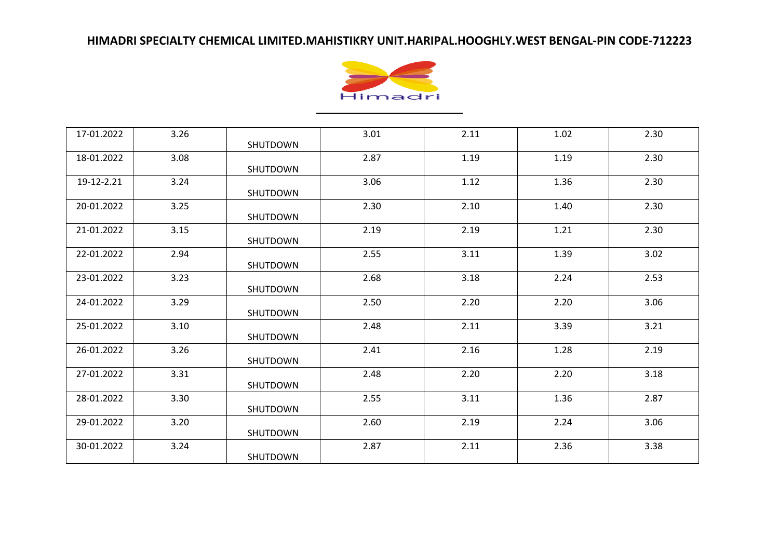

| 17-01.2022 | 3.26 | SHUTDOWN | 3.01 | 2.11 | 1.02 | 2.30 |
|------------|------|----------|------|------|------|------|
| 18-01.2022 | 3.08 | SHUTDOWN | 2.87 | 1.19 | 1.19 | 2.30 |
| 19-12-2.21 | 3.24 | SHUTDOWN | 3.06 | 1.12 | 1.36 | 2.30 |
| 20-01.2022 | 3.25 | SHUTDOWN | 2.30 | 2.10 | 1.40 | 2.30 |
| 21-01.2022 | 3.15 | SHUTDOWN | 2.19 | 2.19 | 1.21 | 2.30 |
| 22-01.2022 | 2.94 | SHUTDOWN | 2.55 | 3.11 | 1.39 | 3.02 |
| 23-01.2022 | 3.23 | SHUTDOWN | 2.68 | 3.18 | 2.24 | 2.53 |
| 24-01.2022 | 3.29 | SHUTDOWN | 2.50 | 2.20 | 2.20 | 3.06 |
| 25-01.2022 | 3.10 | SHUTDOWN | 2.48 | 2.11 | 3.39 | 3.21 |
| 26-01.2022 | 3.26 | SHUTDOWN | 2.41 | 2.16 | 1.28 | 2.19 |
| 27-01.2022 | 3.31 | SHUTDOWN | 2.48 | 2.20 | 2.20 | 3.18 |
| 28-01.2022 | 3.30 | SHUTDOWN | 2.55 | 3.11 | 1.36 | 2.87 |
| 29-01.2022 | 3.20 | SHUTDOWN | 2.60 | 2.19 | 2.24 | 3.06 |
| 30-01.2022 | 3.24 | SHUTDOWN | 2.87 | 2.11 | 2.36 | 3.38 |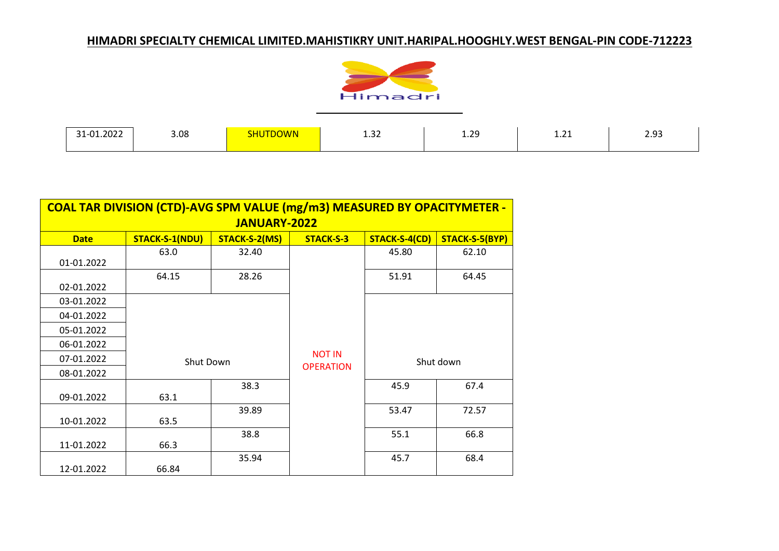

| 1-01.2022<br>ັ | 3.08 | <b>ITDOWN</b> | $\sim$<br>1.32 | 1.29 | $\sim$<br><b>1.41</b> | 2.93 |
|----------------|------|---------------|----------------|------|-----------------------|------|

| <b>COAL TAR DIVISION (CTD)-AVG SPM VALUE (mg/m3) MEASURED BY OPACITYMETER -</b> |                                                                                               |       |                  |           |       |  |  |  |  |
|---------------------------------------------------------------------------------|-----------------------------------------------------------------------------------------------|-------|------------------|-----------|-------|--|--|--|--|
| <b>JANUARY-2022</b>                                                             |                                                                                               |       |                  |           |       |  |  |  |  |
| <b>Date</b>                                                                     | <b>STACK-S-1(NDU)</b><br>STACK-S-5(BYP)<br>STACK-S-2(MS)<br><b>STACK-S-3</b><br>STACK-S-4(CD) |       |                  |           |       |  |  |  |  |
|                                                                                 | 63.0                                                                                          | 32.40 |                  | 45.80     | 62.10 |  |  |  |  |
| 01-01.2022                                                                      |                                                                                               |       |                  |           |       |  |  |  |  |
|                                                                                 | 64.15                                                                                         | 28.26 |                  | 51.91     | 64.45 |  |  |  |  |
| 02-01.2022                                                                      |                                                                                               |       |                  |           |       |  |  |  |  |
| 03-01.2022                                                                      |                                                                                               |       |                  |           |       |  |  |  |  |
| 04-01.2022                                                                      |                                                                                               |       |                  |           |       |  |  |  |  |
| 05-01.2022                                                                      |                                                                                               |       |                  |           |       |  |  |  |  |
| 06-01.2022                                                                      |                                                                                               |       |                  |           |       |  |  |  |  |
| 07-01.2022                                                                      | Shut Down                                                                                     |       | <b>NOT IN</b>    | Shut down |       |  |  |  |  |
| 08-01.2022                                                                      |                                                                                               |       | <b>OPERATION</b> |           |       |  |  |  |  |
|                                                                                 |                                                                                               | 38.3  |                  | 45.9      | 67.4  |  |  |  |  |
| 09-01.2022                                                                      | 63.1                                                                                          |       |                  |           |       |  |  |  |  |
|                                                                                 |                                                                                               | 39.89 |                  | 53.47     | 72.57 |  |  |  |  |
| 10-01.2022                                                                      | 63.5                                                                                          |       |                  |           |       |  |  |  |  |
|                                                                                 |                                                                                               | 38.8  |                  | 55.1      | 66.8  |  |  |  |  |
| 11-01.2022                                                                      | 66.3                                                                                          |       |                  |           |       |  |  |  |  |
|                                                                                 |                                                                                               | 35.94 |                  | 45.7      | 68.4  |  |  |  |  |
| 12-01.2022                                                                      | 66.84                                                                                         |       |                  |           |       |  |  |  |  |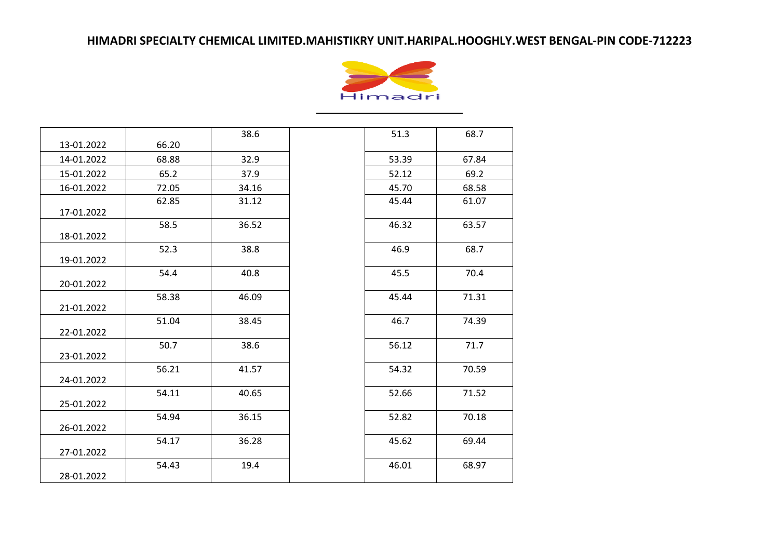

|            |       | 38.6  | 51.3  | 68.7  |
|------------|-------|-------|-------|-------|
| 13-01.2022 | 66.20 |       |       |       |
| 14-01.2022 | 68.88 | 32.9  | 53.39 | 67.84 |
| 15-01.2022 | 65.2  | 37.9  | 52.12 | 69.2  |
| 16-01.2022 | 72.05 | 34.16 | 45.70 | 68.58 |
| 17-01.2022 | 62.85 | 31.12 | 45.44 | 61.07 |
| 18-01.2022 | 58.5  | 36.52 | 46.32 | 63.57 |
| 19-01.2022 | 52.3  | 38.8  | 46.9  | 68.7  |
| 20-01.2022 | 54.4  | 40.8  | 45.5  | 70.4  |
| 21-01.2022 | 58.38 | 46.09 | 45.44 | 71.31 |
| 22-01.2022 | 51.04 | 38.45 | 46.7  | 74.39 |
| 23-01.2022 | 50.7  | 38.6  | 56.12 | 71.7  |
| 24-01.2022 | 56.21 | 41.57 | 54.32 | 70.59 |
| 25-01.2022 | 54.11 | 40.65 | 52.66 | 71.52 |
| 26-01.2022 | 54.94 | 36.15 | 52.82 | 70.18 |
| 27-01.2022 | 54.17 | 36.28 | 45.62 | 69.44 |
| 28-01.2022 | 54.43 | 19.4  | 46.01 | 68.97 |

| 38.6  | 51.3  | 68.7  |
|-------|-------|-------|
| 32.9  | 53.39 | 67.84 |
| 37.9  | 52.12 | 69.2  |
| 34.16 | 45.70 | 68.58 |
| 31.12 | 45.44 | 61.07 |
| 36.52 | 46.32 | 63.57 |
| 38.8  | 46.9  | 68.7  |
| 40.8  | 45.5  | 70.4  |
| 16.09 | 45.44 | 71.31 |
| 88.45 | 46.7  | 74.39 |
| 38.6  | 56.12 | 71.7  |
| 1.57  | 54.32 | 70.59 |
| 10.65 | 52.66 | 71.52 |
| 36.15 | 52.82 | 70.18 |
| 86.28 | 45.62 | 69.44 |
| 19.4  | 46.01 | 68.97 |